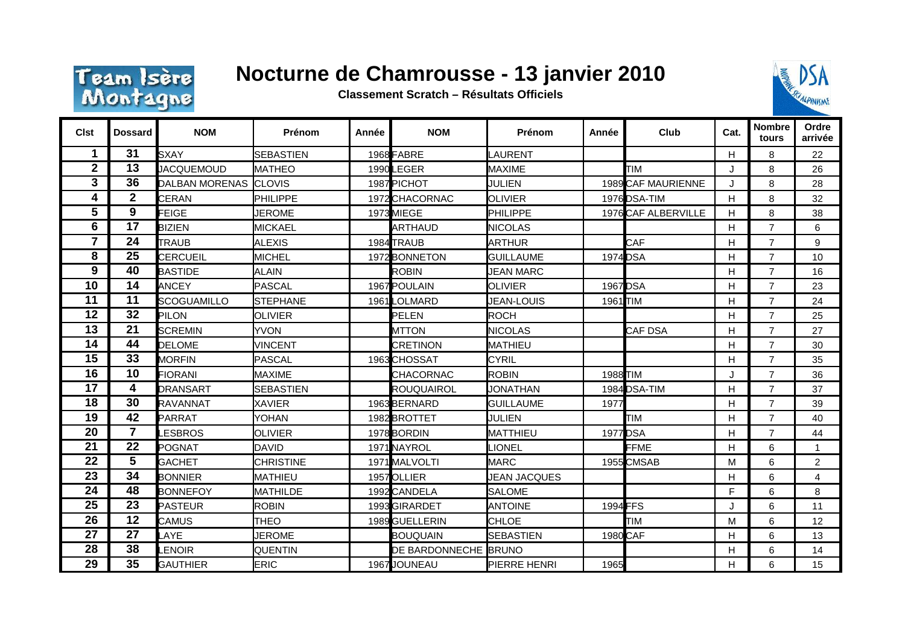

## **Nocturne de Chamrousse - 13 janvier 2010**

**Classement Scratch – Résultats Officiels**



| <b>Clst</b>    | Dossard         | <b>NOM</b>            | Prénom           | Année | <b>NOM</b>            | Prénom              | Année           | Club                | Cat.         | <b>Nombre</b><br>tours | Ordre<br>arrivée |
|----------------|-----------------|-----------------------|------------------|-------|-----------------------|---------------------|-----------------|---------------------|--------------|------------------------|------------------|
| 1              | 31              | <b>SXAY</b>           | <b>SEBASTIEN</b> |       | 1968 FABRE            | LAURENT             |                 |                     | H            | 8                      | 22               |
| $\overline{2}$ | 13              | <b>JACQUEMOUD</b>     | <b>MATHEO</b>    |       | 1990LEGER             | <b>MAXIME</b>       |                 | TIM                 | J            | 8                      | 26               |
| 3              | 36              | DALBAN MORENAS CLOVIS |                  |       | 1987 PICHOT           | <b>JULIEN</b>       |                 | 1989 CAF MAURIENNE  | J            | 8                      | 28               |
| 4              | $\mathbf{2}$    | <b>CERAN</b>          | <b>PHILIPPE</b>  |       | 1972 CHACORNAC        | <b>OLIVIER</b>      |                 | 1976 <b>DSA-TIM</b> | H            | 8                      | 32               |
| 5              | 9               | <b>FEIGE</b>          | <b>JEROME</b>    |       | 1973 MIEGE            | PHILIPPE            |                 | 1976 CAF ALBERVILLE | H            | 8                      | 38               |
| 6              | 17              | <b>BIZIEN</b>         | <b>MICKAEL</b>   |       | ARTHAUD               | <b>NICOLAS</b>      |                 |                     | H            | $\overline{7}$         | 6                |
| 7              | 24              | <b>TRAUB</b>          | <b>ALEXIS</b>    |       | 1984 TRAUB            | <b>ARTHUR</b>       |                 | CAF                 | Н            | $\overline{7}$         | 9                |
| 8              | 25              | <b>CERCUEIL</b>       | <b>MICHEL</b>    |       | 1972 BONNETON         | <b>GUILLAUME</b>    | 1974 <b>DSA</b> |                     | H            | $\overline{7}$         | 10               |
| 9              | 40              | <b>BASTIDE</b>        | <b>ALAIN</b>     |       | <b>ROBIN</b>          | <b>JEAN MARC</b>    |                 |                     | H            | $\overline{7}$         | 16               |
| 10             | 14              | <b>ANCEY</b>          | <b>PASCAL</b>    |       | 1967 POULAIN          | <b>OLIVIER</b>      | 1967 DSA        |                     | H            | $\overline{7}$         | 23               |
| 11             | 11              | SCOGUAMILLO           | <b>STEPHANE</b>  |       | 1961LOLMARD           | JEAN-LOUIS          | 1961 TIM        |                     | H            | $\overline{7}$         | 24               |
| 12             | 32              | <b>PILON</b>          | <b>OLIVIER</b>   |       | PELEN                 | <b>ROCH</b>         |                 |                     | Н            | $\overline{7}$         | 25               |
| 13             | 21              | <b>SCREMIN</b>        | <b>YVON</b>      |       | MTTON                 | <b>NICOLAS</b>      |                 | CAF DSA             | $\mathsf{H}$ | $\overline{7}$         | 27               |
| 14             | 44              | <b>DELOME</b>         | <b>VINCENT</b>   |       | <b>CRETINON</b>       | MATHIEU             |                 |                     | Н            | $\overline{7}$         | 30               |
| 15             | 33              | <b>MORFIN</b>         | <b>PASCAL</b>    |       | 1963 CHOSSAT          | <b>CYRIL</b>        |                 |                     | H            | $\overline{7}$         | 35               |
| 16             | 10              | <b>FIORANI</b>        | <b>MAXIME</b>    |       | CHACORNAC             | <b>ROBIN</b>        | 1988 TIM        |                     | J            | $\overline{7}$         | 36               |
| 17             | 4               | <b>DRANSART</b>       | <b>SEBASTIEN</b> |       | ROUQUAIROL            | <b>JONATHAN</b>     |                 | 1984 DSA-TIM        | Н            | $\overline{7}$         | 37               |
| 18             | 30              | <b>RAVANNAT</b>       | <b>XAVIER</b>    |       | 1963 BERNARD          | <b>GUILLAUME</b>    | 1977            |                     | Н            | $\overline{7}$         | 39               |
| 19             | 42              | <b>PARRAT</b>         | YOHAN            |       | 1982 BROTTET          | JULIEN              |                 | TIM                 | $\mathsf{H}$ | $\overline{7}$         | 40               |
| 20             | $\overline{7}$  | <b>ESBROS</b>         | <b>OLIVIER</b>   |       | 1978 BORDIN           | MATTHIEU            | 1977 DSA        |                     | H            | $\overline{7}$         | 44               |
| 21             | $\overline{22}$ | <b>POGNAT</b>         | <b>DAVID</b>     |       | 1971 NAYROL           | LIONEL              |                 | <b>FFME</b>         | H            | 6                      | $\mathbf{1}$     |
| 22             | 5               | <b>GACHET</b>         | <b>CHRISTINE</b> |       | 1971 MALVOLTI         | <b>MARC</b>         |                 | 1955 CMSAB          | M            | 6                      | 2                |
| 23             | 34              | <b>BONNIER</b>        | <b>MATHIEU</b>   |       | 1957 OLLIER           | <b>JEAN JACQUES</b> |                 |                     | Н            | 6                      | $\overline{4}$   |
| 24             | 48              | <b>BONNEFOY</b>       | <b>MATHILDE</b>  |       | 1992 CANDELA          | <b>SALOME</b>       |                 |                     | F            | 6                      | 8                |
| 25             | 23              | <b>PASTEUR</b>        | <b>ROBIN</b>     |       | 1993 GIRARDET         | <b>ANTOINE</b>      | 1994 FFS        |                     | J            | 6                      | 11               |
| 26             | 12              | <b>CAMUS</b>          | <b>THEO</b>      |       | 1989 GUELLERIN        | <b>CHLOE</b>        |                 | <b>TIM</b>          | M            | 6                      | 12               |
| 27             | 27              | LAYE                  | <b>JEROME</b>    |       | <b>BOUQUAIN</b>       | <b>SEBASTIEN</b>    | 1980 CAF        |                     | H            | 6                      | 13               |
| 28             | 38              | <b>LENOIR</b>         | <b>QUENTIN</b>   |       | DE BARDONNECHE IBRUNO |                     |                 |                     | Н            | 6                      | 14               |
| 29             | 35              | <b>GAUTHIER</b>       | <b>ERIC</b>      |       | 1967 JOUNEAU          | PIERRE HENRI        | 1965            |                     | Н            | 6                      | 15               |